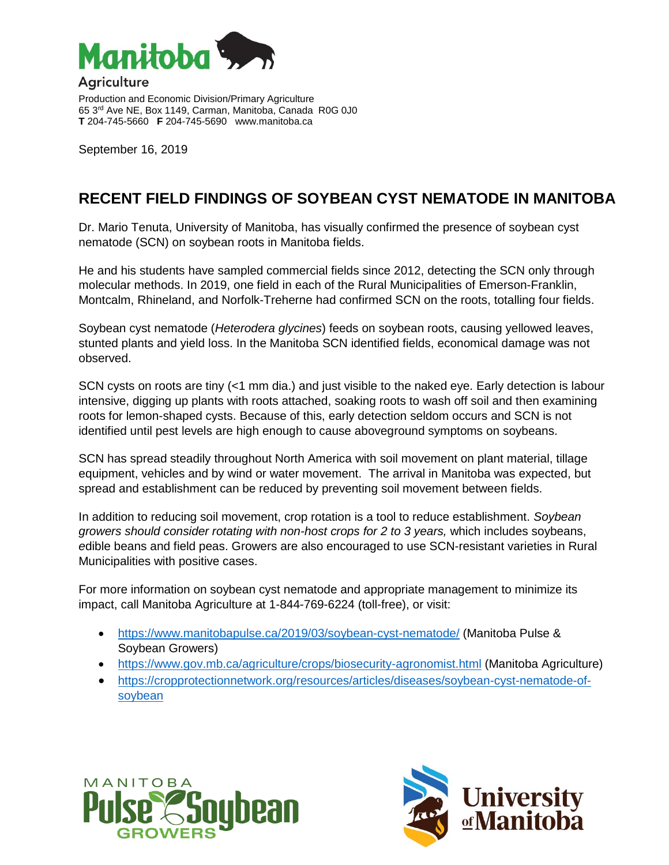

**Agriculture** 

Production and Economic Division/Primary Agriculture 65 3rd Ave NE, Box 1149, Carman, Manitoba, Canada R0G 0J0 **T** 204-745-5660 **F** 204-745-5690 www.manitoba.ca

September 16, 2019

## **RECENT FIELD FINDINGS OF SOYBEAN CYST NEMATODE IN MANITOBA**

Dr. Mario Tenuta, University of Manitoba, has visually confirmed the presence of soybean cyst nematode (SCN) on soybean roots in Manitoba fields.

He and his students have sampled commercial fields since 2012, detecting the SCN only through molecular methods. In 2019, one field in each of the Rural Municipalities of Emerson-Franklin, Montcalm, Rhineland, and Norfolk-Treherne had confirmed SCN on the roots, totalling four fields.

Soybean cyst nematode (*Heterodera glycines*) feeds on soybean roots, causing yellowed leaves, stunted plants and yield loss. In the Manitoba SCN identified fields, economical damage was not observed.

SCN cysts on roots are tiny (<1 mm dia.) and just visible to the naked eye. Early detection is labour intensive, digging up plants with roots attached, soaking roots to wash off soil and then examining roots for lemon-shaped cysts. Because of this, early detection seldom occurs and SCN is not identified until pest levels are high enough to cause aboveground symptoms on soybeans.

SCN has spread steadily throughout North America with soil movement on plant material, tillage equipment, vehicles and by wind or water movement. The arrival in Manitoba was expected, but spread and establishment can be reduced by preventing soil movement between fields.

In addition to reducing soil movement, crop rotation is a tool to reduce establishment. *Soybean growers should consider rotating with non-host crops for 2 to 3 years,* which includes soybeans, *e*dible beans and field peas. Growers are also encouraged to use SCN-resistant varieties in Rural Municipalities with positive cases.

For more information on soybean cyst nematode and appropriate management to minimize its impact, call Manitoba Agriculture at 1-844-769-6224 (toll-free), or visit:

- <https://www.manitobapulse.ca/2019/03/soybean-cyst-nematode/> (Manitoba Pulse & Soybean Growers)
- <https://www.gov.mb.ca/agriculture/crops/biosecurity-agronomist.html> (Manitoba Agriculture)
- [https://cropprotectionnetwork.org/resources/articles/diseases/soybean-cyst-nematode-of](https://cropprotectionnetwork.org/resources/articles/diseases/soybean-cyst-nematode-of-soybean)[soybean](https://cropprotectionnetwork.org/resources/articles/diseases/soybean-cyst-nematode-of-soybean)